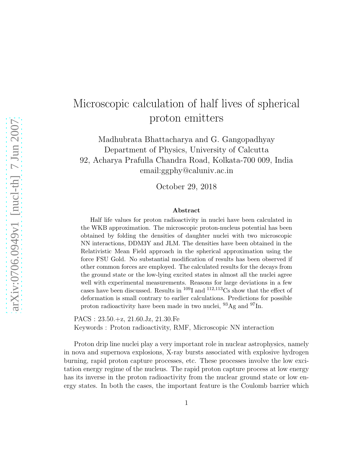## Microscopic calculation of half lives of spherical proton emitters

Madhubrata Bhattacharya and G. Gangopadhyay Department of Physics, University of Calcutta 92, Acharya Prafulla Chandra Road, Kolkata-700 009, India email:ggphy@caluniv.ac.in

October 29, 2018

## Abstract

Half life values for proton radioactivity in nuclei have been calculated in the WKB approximation. The microscopic proton-nucleus potential has been obtained by folding the densities of daughter nuclei with two microscopic NN interactions, DDM3Y and JLM. The densities have been obtained in the Relativistic Mean Field approach in the spherical approximation using the force FSU Gold. No substantial modification of results has been observed if other common forces are employed. The calculated results for the decays from the ground state or the low-lying excited states in almost all the nuclei agree well with experimental measurements. Reasons for large deviations in a few cases have been discussed. Results in  $^{109}$ I and  $^{112,113}$ Cs show that the effect of deformation is small contrary to earlier calculations. Predictions for possible proton radioactivity have been made in two nuclei,  $^{93}\mathrm{Ag}$  and  $^{97}\mathrm{In}.$ 

PACS : 23.50.+z, 21.60.Jz, 21.30.Fe Keywords : Proton radioactivity, RMF, Microscopic NN interaction

Proton drip line nuclei play a very important role in nuclear astrophysics, namely in nova and supernova explosions, X-ray bursts associated with explosive hydrogen burning, rapid proton capture processes, etc. These processes involve the low excitation energy regime of the nucleus. The rapid proton capture process at low energy has its inverse in the proton radioactivity from the nuclear ground state or low energy states. In both the cases, the important feature is the Coulomb barrier which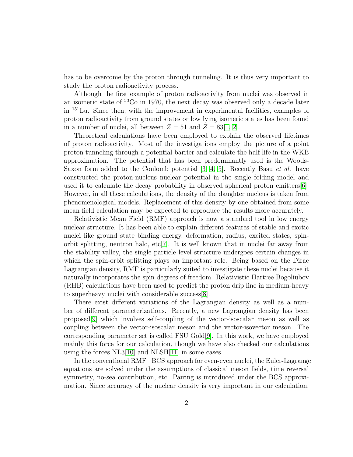has to be overcome by the proton through tunneling. It is thus very important to study the proton radioactivity process.

Although the first example of proton radioactivity from nuclei was observed in an isomeric state of <sup>53</sup>Co in 1970, the next decay was observed only a decade later in <sup>151</sup>Lu. Since then, with the improvement in experimental facilities, examples of proton radioactivity from ground states or low lying isomeric states has been found in a number of nuclei, all between  $Z = 51$  and  $Z = 83[1, 2]$  $Z = 83[1, 2]$  $Z = 83[1, 2]$ .

Theoretical calculations have been employed to explain the observed lifetimes of proton radioactivity. Most of the investigations employ the picture of a point proton tunneling through a potential barrier and calculate the half life in the WKB approximation. The potential that has been predominantly used is the Woods-Saxon form added to the Coulomb potential  $[3, 4, 5]$  $[3, 4, 5]$  $[3, 4, 5]$ . Recently Basu *et al.* have constructed the proton-nucleus nuclear potential in the single folding model and used it to calculate the decay probability in observed spherical proton emitters[\[6\]](#page-6-5). However, in all these calculations, the density of the daughter nucleus is taken from phenomenological models. Replacement of this density by one obtained from some mean field calculation may be expected to reproduce the results more accurately.

Relativistic Mean Field (RMF) approach is now a standard tool in low energy nuclear structure. It has been able to explain different features of stable and exotic nuclei like ground state binding energy, deformation, radius, excited states, spinorbit splitting, neutron halo, etc[\[7\]](#page-7-0). It is well known that in nuclei far away from the stability valley, the single particle level structure undergoes certain changes in which the spin-orbit splitting plays an important role. Being based on the Dirac Lagrangian density, RMF is particularly suited to investigate these nuclei because it naturally incorporates the spin degrees of freedom. Relativistic Hartree Bogoliubov (RHB) calculations have been used to predict the proton drip line in medium-heavy to superheavy nuclei with considerable success[\[8\]](#page-7-1).

There exist different variations of the Lagrangian density as well as a number of different parameterizations. Recently, a new Lagrangian density has been proposed[\[9\]](#page-7-2) which involves self-coupling of the vector-isoscalar meson as well as coupling between the vector-isoscalar meson and the vector-isovector meson. The corresponding parameter set is called FSU Gold[\[9\]](#page-7-2). In this work, we have employed mainly this force for our calculation, though we have also checked our calculations using the forces NL3[\[10\]](#page-7-3) and NLSH[\[11\]](#page-7-4) in some cases.

In the conventional RMF+BCS approach for even-even nuclei, the Euler-Lagrange equations are solved under the assumptions of classical meson fields, time reversal symmetry, no-sea contribution, etc. Pairing is introduced under the BCS approximation. Since accuracy of the nuclear density is very important in our calculation,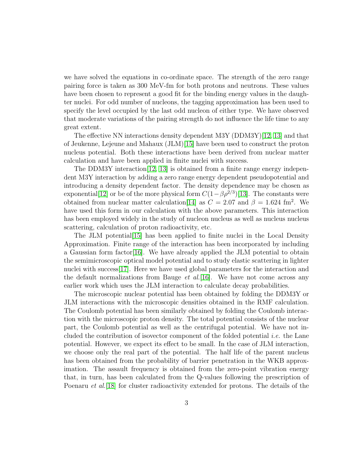we have solved the equations in co-ordinate space. The strength of the zero range pairing force is taken as 300 MeV-fm for both protons and neutrons. These values have been chosen to represent a good fit for the binding energy values in the daughter nuclei. For odd number of nucleons, the tagging approximation has been used to specify the level occupied by the last odd nucleon of either type. We have observed that moderate variations of the pairing strength do not influence the life time to any great extent.

The effective NN interactions density dependent M3Y (DDM3Y)[\[12,](#page-7-5) [13\]](#page-7-6) and that of Jeukenne, Lejeune and Mahaux (JLM)[\[15\]](#page-7-7) have been used to construct the proton nucleus potential. Both these interactions have been derived from nuclear matter calculation and have been applied in finite nuclei with success.

The DDM3Y interaction  $[12, 13]$  $[12, 13]$  is obtained from a finite range energy independent M3Y interaction by adding a zero range energy dependent pseudopotential and introducing a density dependent factor. The density dependence may be chosen as exponential[\[12\]](#page-7-5) or be of the more physical form  $C(1-\beta \rho^{2/3})$ [\[13\]](#page-7-6). The constants were obtained from nuclear matter calculation [\[14\]](#page-7-8) as  $C = 2.07$  and  $\beta = 1.624$  fm<sup>2</sup>. We have used this form in our calculation with the above parameters. This interaction has been employed widely in the study of nucleon nucleus as well as nucleus nucleus scattering, calculation of proton radioactivity, etc.

The JLM potential[\[15\]](#page-7-7) has been applied to finite nuclei in the Local Density Approximation. Finite range of the interaction has been incorporated by including a Gaussian form factor[\[16\]](#page-7-9). We have already applied the JLM potential to obtain the semimicroscopic optical model potential and to study elastic scattering in lighter nuclei with success<sup>[\[17\]](#page-7-10)</sup>. Here we have used global parameters for the interaction and the default normalizations from Bauge  $et al.[16]$  $et al.[16]$ . We have not come across any earlier work which uses the JLM interaction to calculate decay probabilities.

The microscopic nuclear potential has been obtained by folding the DDM3Y or JLM interactions with the microscopic densities obtained in the RMF calculation. The Coulomb potential has been similarly obtained by folding the Coulomb interaction with the microscopic proton density. The total potential consists of the nuclear part, the Coulomb potential as well as the centrifugal potential. We have not included the contribution of isovector component of the folded potential i.e. the Lane potential. However, we expect its effect to be small. In the case of JLM interaction, we choose only the real part of the potential. The half life of the parent nucleus has been obtained from the probability of barrier penetration in the WKB approximation. The assault frequency is obtained from the zero-point vibration energy that, in turn, has been calculated from the Q-values following the prescription of Poenaru *et al.*[\[18\]](#page-7-11) for cluster radioactivity extended for protons. The details of the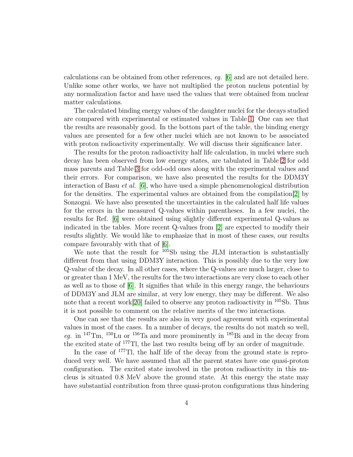calculations can be obtained from other references, eg. [\[6\]](#page-6-5) and are not detailed here. Unlike some other works, we have not multiplied the proton nucleus potential by any normalization factor and have used the values that were obtained from nuclear matter calculations.

The calculated binding energy values of the daughter nuclei for the decays studied are compared with experimental or estimated values in Table [1.](#page-8-0) One can see that the results are reasonably good. In the bottom part of the table, the binding energy values are presented for a few other nuclei which are not known to be associated with proton radioactivity experimentally. We will discuss their significance later.

The results for the proton radioactivity half life calculation, in nuclei where such decay has been observed from low energy states, are tabulated in Table [2](#page-9-0) for odd mass parents and Table [3](#page-10-0) for odd-odd ones along with the experimental values and their errors. For comparison, we have also presented the results for the DDM3Y interaction of Basu et al. [\[6\]](#page-6-5), who have used a simple phenomenological distribution for the densities. The experimental values are obtained from the compilation[\[2\]](#page-6-1) by Sonzogni. We have also presented the uncertainties in the calculated half life values for the errors in the measured Q-values within parentheses. In a few nuclei, the results for Ref. [\[6\]](#page-6-5) were obtained using slightly different experimental Q-values as indicated in the tables. More recent Q-values from [\[2\]](#page-6-1) are expected to modify their results slightly. We would like to emphasize that in most of these cases, our results compare favourably with that of [\[6\]](#page-6-5).

We note that the result for <sup>105</sup>Sb using the JLM interaction is substantially different from that using DDM3Y interaction. This is possibly due to the very low Q-value of the decay. In all other cases, where the Q-values are much larger, close to or greater than 1 MeV, the results for the two interactions are very close to each other as well as to those of [\[6\]](#page-6-5). It signifies that while in this energy range, the behaviours of DDM3Y and JLM are similar, at very low energy, they may be different. We also note that a recent work<sup>[\[20\]](#page-7-12)</sup> failed to observe any proton radioactivity in <sup>105</sup>Sb. Thus it is not possible to comment on the relative merits of the two interactions.

One can see that the results are also in very good agreement with experimental values in most of the cases. In a number of decays, the results do not match so well, eg. in  $147$ Tm,  $150$ Lu or  $156$ Ta and more prominently in  $185$ Bi and in the decay from the excited state of <sup>177</sup>Tl, the last two results being off by an order of magnitude.

In the case of <sup>177</sup>Tl, the half life of the decay from the ground state is reproduced very well. We have assumed that all the parent states have one quasi-proton configuration. The excited state involved in the proton radioactivity in this nucleus is situated 0.8 MeV above the ground state. At this energy the state may have substantial contribution from three quasi-proton configurations thus hindering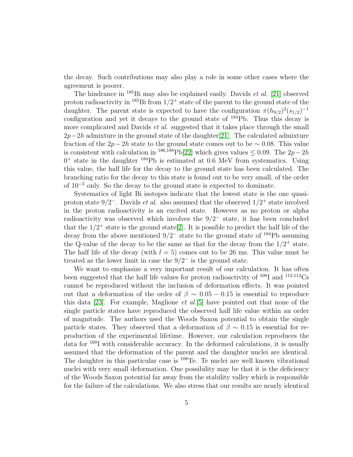the decay. Such contributions may also play a role in some other cases where the agreement is poorer.

The hindrance in  $^{185}$ Bi may also be explained easily. Davids *et al.* [\[21\]](#page-7-13) observed proton radioactivity in  $^{185}$ Bi from  $1/2^+$  state of the parent to the ground state of the daughter. The parent state is expected to have the configuration  $\pi (h_{9/2})^2 (s_{1/2})^{-1}$ configuration and yet it decays to the ground state of <sup>184</sup>Pb. Thus this decay is more complicated and Davids *et al.* suggested that it takes place through the small  $2p-2h$  admixture in the ground state of the daughter[\[21\]](#page-7-13). The calculated admixture fraction of the 2p − 2h state to the ground state comes out to be  $\sim$  0.08. This value is consistent with calculation in <sup>186,188</sup>Pb[\[22\]](#page-7-14) which gives values  $\leq 0.09$ . The 2p – 2h  $0^+$  state in the daughter  $^{184}$ Pb is estimated at 0.6 MeV from systematics. Using this value, the half life for the decay to the ground state has been calculated. The branching ratio for the decay to this state is found out to be very small, of the order of 10<sup>−</sup><sup>5</sup> only. So the decay to the ground state is expected to dominate.

Systematics of light Bi isotopes indicate that the lowest state is the one quasiproton state  $9/2^-$ . Davids *et al.* also assumed that the observed  $1/2^+$  state involved in the proton radioactivity is an excited state. However as no proton or alpha radioactivity was observed which involves the  $9/2^-$  state, it has been concluded that the  $1/2^+$  state is the ground state[\[2\]](#page-6-1). It is possible to predict the half life of the decay from the above mentioned  $9/2^-$  state to the ground state of <sup>184</sup>Pb assuming the Q-value of the decay to be the same as that for the decay from the  $1/2^+$  state. The half life of the decay (with  $l = 5$ ) comes out to be 26 ms. This value must be treated as the lower limit in case the  $9/2^-$  is the ground state.

We want to emphasize a very important result of our calculation. It has often been suggested that the half life values for proton radioactivity of  $^{109}$ I and  $^{112,113}$ Cs cannot be reproduced without the inclusion of deformation effects. It was pointed out that a deformation of the order of  $\beta \sim 0.05 - 0.15$  is essential to reproduce this data [\[23\]](#page-7-15). For example, Maglione *et al.*[\[5\]](#page-6-4) have pointed out that none of the single particle states have reproduced the observed half life value within an order of magnitude. The authors used the Woods Saxon potential to obtain the single particle states. They observed that a deformation of  $\beta \sim 0.15$  is essential for reproduction of the experimental lifetime. However, our calculation reproduces the data for <sup>109</sup>I with considerable accuracy. In the deformed calculations, it is usually assumed that the deformation of the parent and the daughter nuclei are identical. The daughter in this particular case is <sup>108</sup>Te. Te nuclei are well known vibrational nuclei with very small deformation. One possibility may be that it is the deficiency of the Woods Saxon potential far away from the stability valley which is responsible for the failure of the calculations. We also stress that our results are nearly identical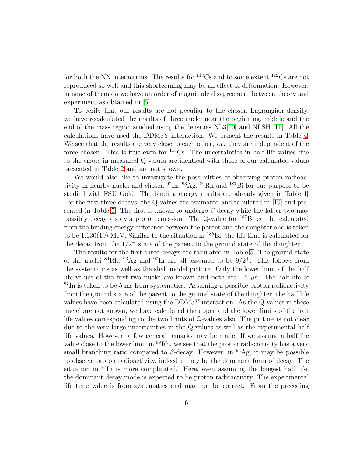for both the NN interactions. The results for <sup>113</sup>Cs and to some extent <sup>112</sup>Cs are not reproduced so well and this shortcoming may be an effect of deformation. However, in none of them do we have an order of magnitude disagreement between theory and experiment as obtained in [\[5\]](#page-6-4).

To verify that our results are not peculiar to the chosen Lagrangian density, we have recalculated the results of three nuclei near the beginning, middle and the end of the mass region studied using the densities NL3[\[10\]](#page-7-3) and NLSH [\[11\]](#page-7-4). All the calculations have used the DDM3Y interaction. We present the results in Table [4.](#page-10-1) We see that the results are very close to each other, *i.e.* they are independent of the force chosen. This is true even for <sup>113</sup>Cs. The uncertainties in half life values due to the errors in measured Q-values are identical with those of our calculated values presented in Table [2](#page-9-0) and are not shown.

We would also like to investigate the possibilities of observing proton radioactivity in nearby nuclei and chosen  $\rm{^{97}In}$ ,  $\rm{^{93}Ag}$ ,  $\rm{^{89}Rh}$  and  $\rm{^{187}Bi}$  for our purpose to be studied with FSU Gold. The binding energy results are already given in Table [1.](#page-8-0) For the first three decays, the Q-values are estimated and tabulated in [\[19\]](#page-7-16) and pre-sented in Table [5.](#page-10-2) The first is known to undergo  $\beta$ -decay while the latter two may possibly decay also via proton emission. The Q-value for <sup>187</sup>Bi can be calculated from the binding energy difference between the parent and the daughter and is taken to be 1.130(19) MeV. Similar to the situation in <sup>185</sup>Bi, the life time is calculated for the decay from the  $1/2^+$  state of the parent to the ground state of the daughter.

The results for the first three decays are tabulated in Table [5.](#page-10-2) The ground state of the nuclei  ${}^{89}$ Rh,  ${}^{93}$ Ag and  ${}^{97}$ In are all assumed to be  $9/2^+$ . This follows from the systematics as well as the shell model picture. Only the lower limit of the half life values of the first two nuclei are known and both are 1.5  $\mu$ s. The half life of  $97$ In is taken to be 5 ms from systematics. Assuming a possible proton radioactivity from the ground state of the parent to the ground state of the daughter, the half life values have been calculated using the DDM3Y interaction. As the Q-values in these nuclei are not known, we have calculated the upper and the lower limits of the half life values corresponding to the two limits of Q-values also. The picture is not clear due to the very large uncertainties in the Q-values as well as the experimental half life values. However, a few general remarks may be made. If we assume a half life value close to the lower limit in <sup>89</sup>Rh, we see that the proton radioactivity has a very small branching ratio compared to  $\beta$ -decay. However, in <sup>93</sup>Ag, it may be possible to observe proton radioactivity, indeed it may be the dominant form of decay. The situation in  $\rm{^{97}In}$  is more complicated. Here, even assuming the longest half life, the dominant decay mode is expected to be proton radioactivity. The experimental life time value is from systematics and may not be correct. From the preceding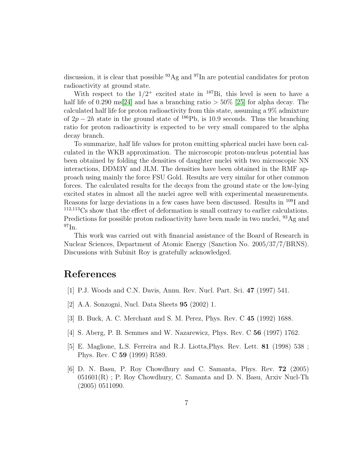discussion, it is clear that possible <sup>93</sup>Ag and <sup>97</sup>In are potential candidates for proton radioactivity at ground state.

With respect to the  $1/2^+$  excited state in <sup>187</sup>Bi, this level is seen to have a half life of 0.290 ms[\[24\]](#page-7-17) and has a branching ratio  $> 50\%$  [\[25\]](#page-7-18) for alpha decay. The calculated half life for proton radioactivity from this state, assuming a 9% admixture of  $2p - 2h$  state in the ground state of <sup>186</sup>Pb, is 10.9 seconds. Thus the branching ratio for proton radioactivity is expected to be very small compared to the alpha decay branch.

To summarize, half life values for proton emitting spherical nuclei have been calculated in the WKB approximation. The microscopic proton-nucleus potential has been obtained by folding the densities of daughter nuclei with two microscopic NN interactions, DDM3Y and JLM. The densities have been obtained in the RMF approach using mainly the force FSU Gold. Results are very similar for other common forces. The calculated results for the decays from the ground state or the low-lying excited states in almost all the nuclei agree well with experimental measurements. Reasons for large deviations in a few cases have been discussed. Results in <sup>109</sup>I and <sup>112,113</sup>Cs show that the effect of deformation is small contrary to earlier calculations. Predictions for possible proton radioactivity have been made in two nuclei, <sup>93</sup>Ag and  $^{97}$ In.

This work was carried out with financial assistance of the Board of Research in Nuclear Sciences, Department of Atomic Energy (Sanction No. 2005/37/7/BRNS). Discussions with Subinit Roy is gratefully acknowledged.

## <span id="page-6-0"></span>References

- <span id="page-6-1"></span>[1] P.J. Woods and C.N. Davis, Annu. Rev. Nucl. Part. Sci. 47 (1997) 541.
- <span id="page-6-2"></span>[2] A.A. Sonzogni, Nucl. Data Sheets 95 (2002) 1.
- <span id="page-6-3"></span>[3] B. Buck, A. C. Merchant and S. M. Perez, Phys. Rev. C 45 (1992) 1688.
- <span id="page-6-4"></span>[4] S. Aberg, P. B. Semmes and W. Nazarewicz, Phys. Rev. C 56 (1997) 1762.
- [5] E. Maglione, L.S. Ferreira and R.J. Liotta,Phys. Rev. Lett. 81 (1998) 538 ; Phys. Rev. C 59 (1999) R589.
- <span id="page-6-5"></span>[6] D. N. Basu, P. Roy Chowdhury and C. Samanta, Phys. Rev. 72 (2005)  $051601(R)$ ; P. Roy Chowdhury, C. Samanta and D. N. Basu, Arxiv Nucl-Th (2005) 0511090.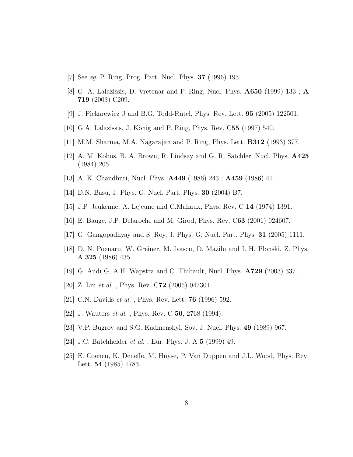- <span id="page-7-1"></span><span id="page-7-0"></span>[7] See eg. P. Ring, Prog. Part. Nucl. Phys. 37 (1996) 193.
- <span id="page-7-2"></span>[8] G. A. Lalazissis, D. Vretenar and P. Ring, Nucl. Phys. A650 (1999) 133 ; A 719 (2003) C209.
- <span id="page-7-3"></span>[9] J. Piekarewicz J and B.G. Todd-Rutel, Phys. Rev. Lett. 95 (2005) 122501.
- <span id="page-7-4"></span>[10] G.A. Lalazissis, J. König and P. Ring, Phys. Rev. C55 (1997) 540.
- <span id="page-7-5"></span>[11] M.M. Sharma, M.A. Nagarajan and P. Ring, Phys. Lett. B312 (1993) 377.
- <span id="page-7-6"></span>[12] A. M. Kobos, B. A. Brown, R. Lindsay and G. R. Satchler, Nucl. Phys. A425 (1984) 205.
- <span id="page-7-8"></span>[13] A. K. Chaudhuri, Nucl. Phys. A449 (1986) 243 ; A459 (1986) 41.
- <span id="page-7-7"></span>[14] D.N. Basu, J. Phys. G: Nucl. Part. Phys. 30 (2004) B7.
- <span id="page-7-9"></span>[15] J.P. Jeukenne, A. Lejeune and C.Mahaux, Phys. Rev. C 14 (1974) 1391.
- <span id="page-7-10"></span>[16] E. Bauge, J.P. Delaroche and M. Girod, Phys. Rev. C63 (2001) 024607.
- <span id="page-7-11"></span>[17] G. Gangopadhyay and S. Roy, J. Phys. G: Nucl. Part. Phys. 31 (2005) 1111.
- [18] D. N. Poenaru, W. Greiner, M. Ivascu, D. Mazilu and I. H. Plonski, Z. Phys. A 325 (1986) 435.
- <span id="page-7-16"></span><span id="page-7-12"></span>[19] G. Audi G, A.H. Wapstra and C. Thibault, Nucl. Phys. A729 (2003) 337.
- <span id="page-7-13"></span>[20] Z. Liu et al. , Phys. Rev. C72 (2005) 047301.
- <span id="page-7-14"></span>[21] C.N. Davids *et al.*, Phys. Rev. Lett. **76** (1996) 592.
- <span id="page-7-15"></span>[22] J. Wauters et al. , Phys. Rev. C 50, 2768 (1994).
- <span id="page-7-17"></span>[23] V.P. Bugrov and S.G. Kadmenskyi, Sov. J. Nucl. Phys. 49 (1989) 967.
- <span id="page-7-18"></span> $[24]$  J.C. Batchhelder  $et\ al.$  , Eur. Phys. J. A  ${\bf 5}$   $(1999)$   $49.$
- [25] E. Coenen, K. Deneffe, M. Huyse, P. Van Duppen and J.L. Wood, Phys. Rev. Lett. 54 (1985) 1783.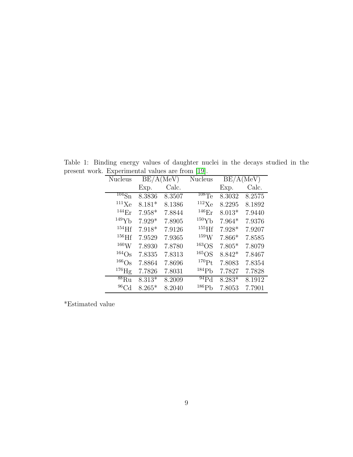<span id="page-8-0"></span>

| <b>Nucleus</b>                 | BE/A(MeV) |        | <b>Nucleus</b>         | BE/A(MeV) |        |
|--------------------------------|-----------|--------|------------------------|-----------|--------|
|                                | Exp.      | Calc.  |                        | Exp.      | Calc.  |
| $\overline{^{104}}\mathrm{Sn}$ | 8.3836    | 8.3507 | $\overline{^{108}}$ Te | 8.3032    | 8.2575 |
| 111Xe                          | $8.181*$  | 8.1386 | $112\text{Xe}$         | 8.2295    | 8.1892 |
| 144 <sub>Er</sub>              | $7.958*$  | 7.8844 | 146 <sub>Er</sub>      | $8.013*$  | 7.9440 |
| 149Yb                          | $7.929*$  | 7.8905 | 150Yb                  | $7.964*$  | 7.9376 |
| $154$ Hf                       | 7.918*    | 7.9126 | $155$ Hf               | $7.928*$  | 7.9207 |
| $156$ Hf                       | 7.9529    | 7.9365 | 159W                   | $7.866*$  | 7.8585 |
| $^{160}\rm{W}$                 | 7.8930    | 7.8780 | $163$ OS               | $7.805*$  | 7.8079 |
| $164$ Os                       | 7.8335    | 7.8313 | $165$ OS               | $8.842*$  | 7.8467 |
| $166$ Os                       | 7.8864    | 7.8696 | $^{170}Pt$             | 7.8083    | 7.8354 |
| $^{176}$ Hg                    | 7.7826    | 7.8031 | 184P <sub>b</sub>      | 7.7827    | 7.7828 |
| 88Ru                           | $8.313*$  | 8.2009 | $^{94}Pd$              | $8.283*$  | 8.1912 |
| $^{96}$ Cd                     | $8.265*$  | 8.2040 | 186P <sub>b</sub>      | 7.8053    | 7.7901 |

Table 1: Binding energy values of daughter nuclei in the decays studied in the present work. Experimental values are from [\[19\]](#page-7-16).

\*Estimated value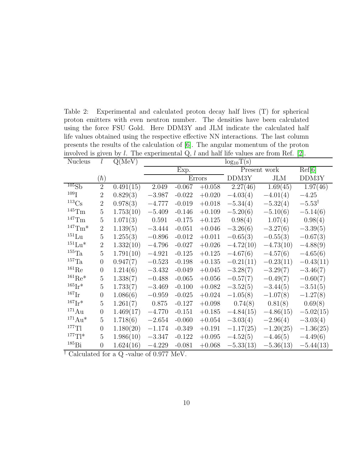<span id="page-9-0"></span>Table 2: Experimental and calculated proton decay half lives (T) for spherical proton emitters with even neutron number. The densities have been calculated using the force FSU Gold. Here DDM3Y and JLM indicate the calculated half life values obtained using the respective effective NN interactions. The last column presents the results of the calculation of [\[6\]](#page-6-5). The angular momentum of the proton involved is given by  $l$ . The experimental  $Q$ ,  $l$  and half life values are from Ref. [\[2\]](#page-6-1).

| <b>Nucleus</b>             | l              | Q(MeV)    | $log_{10}T(s)$ |          |          |              |             |                   |
|----------------------------|----------------|-----------|----------------|----------|----------|--------------|-------------|-------------------|
|                            |                |           | Exp.           |          |          | Present work |             | Ref[6]            |
|                            | $(\hbar)$      |           | Errors         |          | DDM3Y    | <b>JLM</b>   | DDM3Y       |                   |
| 105Sb                      | $\overline{2}$ | 0.491(15) | 2.049          | $-0.067$ | $+0.058$ | 2.27(46)     | 1.69(45)    | 1.97(46)          |
| $109$ $\bar{I}$            | $\overline{2}$ | 0.829(3)  | $-3.987$       | $-0.022$ | $+0.020$ | $-4.03(4)$   | $-4.01(4)$  | $-4.25$           |
| $^{113}\mathrm{Cs}$        | $\overline{2}$ | 0.978(3)  | $-4.777$       | $-0.019$ | $+0.018$ | $-5.34(4)$   | $-5.32(4)$  | $-5.53^{\dagger}$ |
| $^{145}\mathrm{Tm}$        | 5              | 1.753(10) | $-5.409$       | $-0.146$ | $+0.109$ | $-5.20(6)$   | $-5.10(6)$  | $-5.14(6)$        |
| $^{147}\mathrm{Tm}$        | 5              | 1.071(3)  | 0.591          | $-0.175$ | $+0.125$ | 0.98(4)      | 1.07(4)     | 0.98(4)           |
| $^{147}$ Tm <sup>*</sup>   | $\overline{2}$ | 1.139(5)  | $-3.444$       | $-0.051$ | $+0.046$ | $-3.26(6)$   | $-3.27(6)$  | $-3.39(5)$        |
| $^{151}\mathrm{Lu}$        | $\overline{5}$ | 1.255(3)  | $-0.896$       | $-0.012$ | $+0.011$ | $-0.65(3)$   | $-0.55(3)$  | $-0.67(3)$        |
| $^{151}\mathrm{Lu}^\ast$   | $\overline{2}$ | 1.332(10) | $-4.796$       | $-0.027$ | $+0.026$ | $-4.72(10)$  | $-4.73(10)$ | $-4.88(9)$        |
| $^{155}\mathrm{Ta}$        | 5              | 1.791(10) | $-4.921$       | $-0.125$ | $+0.125$ | $-4.67(6)$   | $-4.57(6)$  | $-4.65(6)$        |
| $^{157}\mathrm{Ta}$        | $\overline{0}$ | 0.947(7)  | $-0.523$       | $-0.198$ | $+0.135$ | $-0.21(11)$  | $-0.23(11)$ | $-0.43(11)$       |
| $^{161}\mathrm{Re}$        | $\overline{0}$ | 1.214(6)  | $-3.432$       | $-0.049$ | $+0.045$ | $-3.28(7)$   | $-3.29(7)$  | $-3.46(7)$        |
| ${}^{161}$ Re <sup>*</sup> | 5              | 1.338(7)  | $-0.488$       | $-0.065$ | $+0.056$ | $-0.57(7)$   | $-0.49(7)$  | $-0.60(7)$        |
| $^{165}Ir*$                | 5              | 1.733(7)  | $-3.469$       | $-0.100$ | $+0.082$ | $-3.52(5)$   | $-3.44(5)$  | $-3.51(5)$        |
| $167$ $\mathrm{Ir}$        | $\theta$       | 1.086(6)  | $-0.959$       | $-0.025$ | $+0.024$ | $-1.05(8)$   | $-1.07(8)$  | $-1.27(8)$        |
| $167$ $\rm{Ir*}$           | 5              | 1.261(7)  | 0.875          | $-0.127$ | $+0.098$ | 0.74(8)      | 0.81(8)     | 0.69(8)           |
| $^{171}Au$                 | $\overline{0}$ | 1.469(17) | $-4.770$       | $-0.151$ | $+0.185$ | $-4.84(15)$  | $-4.86(15)$ | $-5.02(15)$       |
| $^{171}Au*$                | $\overline{5}$ | 1.718(6)  | $-2.654$       | $-0.060$ | $+0.054$ | $-3.03(4)$   | $-2.96(4)$  | $-3.03(4)$        |
| $^{177}$ Tl                | $\theta$       | 1.180(20) | $-1.174$       | $-0.349$ | $+0.191$ | $-1.17(25)$  | $-1.20(25)$ | $-1.36(25)$       |
| $^{177}$ T *               | 5              | 1.986(10) | $-3.347$       | $-0.122$ | $+0.095$ | $-4.52(5)$   | $-4.46(5)$  | $-4.49(6)$        |
| $^{185}\mathrm{Bi}$        | $\theta$       | 1.624(16) | $-4.229$       | $-0.081$ | $+0.068$ | $-5.33(13)$  | $-5.36(13)$ | $-5.44(13)$       |

† Calculated for a Q -value of 0.977 MeV.